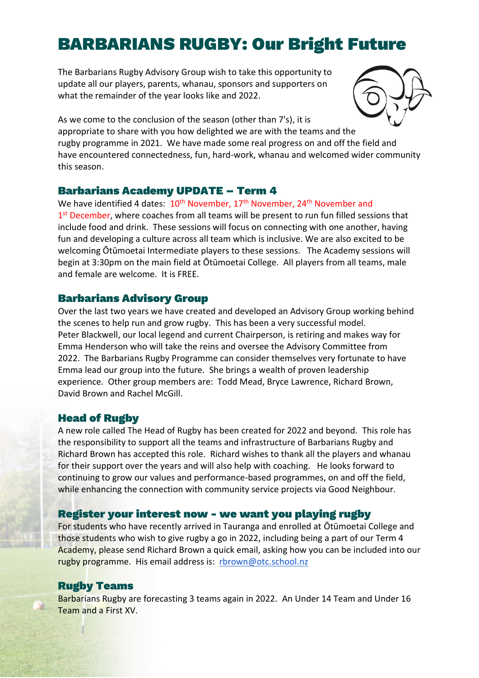# BARBARIANS RUGBY: Our Bright Future

The Barbarians Rugby Advisory Group wish to take this opportunity to update all our players, parents, whanau, sponsors and supporters on what the remainder of the year looks like and 2022.



As we come to the conclusion of the season (other than 7's), it is appropriate to share with you how delighted we are with the teams and the rugby programme in 2021. We have made some real progress on and off the field and have encountered connectedness, fun, hard-work, whanau and welcomed wider community this season.

# Barbarians Academy UPDATE – Term 4

We have identified 4 dates: 10<sup>th</sup> November, 17<sup>th</sup> November, 24<sup>th</sup> November and 1<sup>st</sup> December, where coaches from all teams will be present to run fun filled sessions that include food and drink. These sessions will focus on connecting with one another, having fun and developing a culture across all team which is inclusive. We are also excited to be welcoming Ōtūmoetai Intermediate players to these sessions. The Academy sessions will begin at 3:30pm on the main field at Ōtūmoetai College. All players from all teams, male and female are welcome. It is FREE.

### Barbarians Advisory Group

Over the last two years we have created and developed an Advisory Group working behind the scenes to help run and grow rugby. This has been a very successful model. Peter Blackwell, our local legend and current Chairperson, is retiring and makes way for Emma Henderson who will take the reins and oversee the Advisory Committee from 2022. The Barbarians Rugby Programme can consider themselves very fortunate to have Emma lead our group into the future. She brings a wealth of proven leadership experience. Other group members are: Todd Mead, Bryce Lawrence, Richard Brown, David Brown and Rachel McGill.

#### Head of Rugby

A new role called The Head of Rugby has been created for 2022 and beyond. This role has the responsibility to support all the teams and infrastructure of Barbarians Rugby and Richard Brown has accepted this role. Richard wishes to thank all the players and whanau for their support over the years and will also help with coaching. He looks forward to continuing to grow our values and performance-based programmes, on and off the field, while enhancing the connection with community service projects via Good Neighbour.

#### Register your interest now - we want you playing rugby

For students who have recently arrived in Tauranga and enrolled at Ōtūmoetai College and those students who wish to give rugby a go in 2022, including being a part of our Term 4 Academy, please send Richard Brown a quick email, asking how you can be included into our rugby programme. His email address is: [rbrown@otc.school.nz](mailto:rbrown@otc.school.nz)

# Rugby Teams

Barbarians Rugby are forecasting 3 teams again in 2022. An Under 14 Team and Under 16 Team and a First XV.